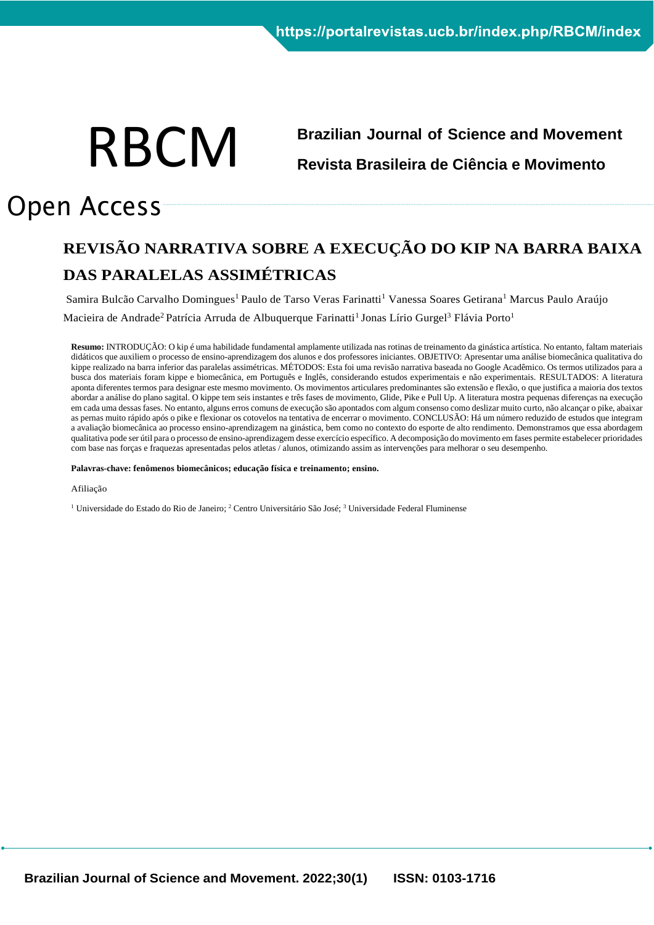# RBCM

# **Brazilian Journal of Science and Movement Revista Brasileira de Ciência e Movimento**

# Open Access

## **REVISÃO NARRATIVA SOBRE A EXECUÇÃO DO KIP NA BARRA BAIXA DAS PARALELAS ASSIMÉTRICAS**

Samira Bulcão Carvalho Domingues<sup>1</sup> Paulo de Tarso Veras Farinatti<sup>1</sup> Vanessa Soares Getirana<sup>1</sup> Marcus Paulo Araújo

Macieira de Andrade<sup>2</sup> Patrícia Arruda de Albuquerque Farinatti<sup>1</sup> Jonas Lírio Gurgel<sup>3</sup> Flávia Porto<sup>1</sup>

**Resumo:** INTRODUÇÃO: O kip é uma habilidade fundamental amplamente utilizada nas rotinas de treinamento da ginástica artística. No entanto, faltam materiais didáticos que auxiliem o processo de ensino-aprendizagem dos alunos e dos professores iniciantes. OBJETIVO: Apresentar uma análise biomecânica qualitativa do kippe realizado na barra inferior das paralelas assimétricas. MÉTODOS: Esta foi uma revisão narrativa baseada no Google Acadêmico. Os termos utilizados para a busca dos materiais foram kippe e biomecânica, em Português e Inglês, considerando estudos experimentais e não experimentais. RESULTADOS: A literatura aponta diferentes termos para designar este mesmo movimento. Os movimentos articulares predominantes são extensão e flexão, o que justifica a maioria dos textos abordar a análise do plano sagital. O kippe tem seis instantes e três fases de movimento, Glide, Pike e Pull Up. A literatura mostra pequenas diferenças na execução em cada uma dessas fases. No entanto, alguns erros comuns de execução são apontados com algum consenso como deslizar muito curto, não alcançar o pike, abaixar as pernas muito rápido após o pike e flexionar os cotovelos na tentativa de encerrar o movimento. CONCLUSÃO: Há um número reduzido de estudos que integram a avaliação biomecânica ao processo ensino-aprendizagem na ginástica, bem como no contexto do esporte de alto rendimento. Demonstramos que essa abordagem qualitativa pode ser útil para o processo de ensino-aprendizagem desse exercício específico. A decomposição do movimento em fases permite estabelecer prioridades com base nas forças e fraquezas apresentadas pelos atletas / alunos, otimizando assim as intervenções para melhorar o seu desempenho.

#### **Palavras-chave: fenômenos biomecânicos; educação física e treinamento; ensino.**

Afiliação

<sup>1</sup> Universidade do Estado do Rio de Janeiro; <sup>2</sup> Centro Universitário São José; <sup>3</sup> Universidade Federal Fluminense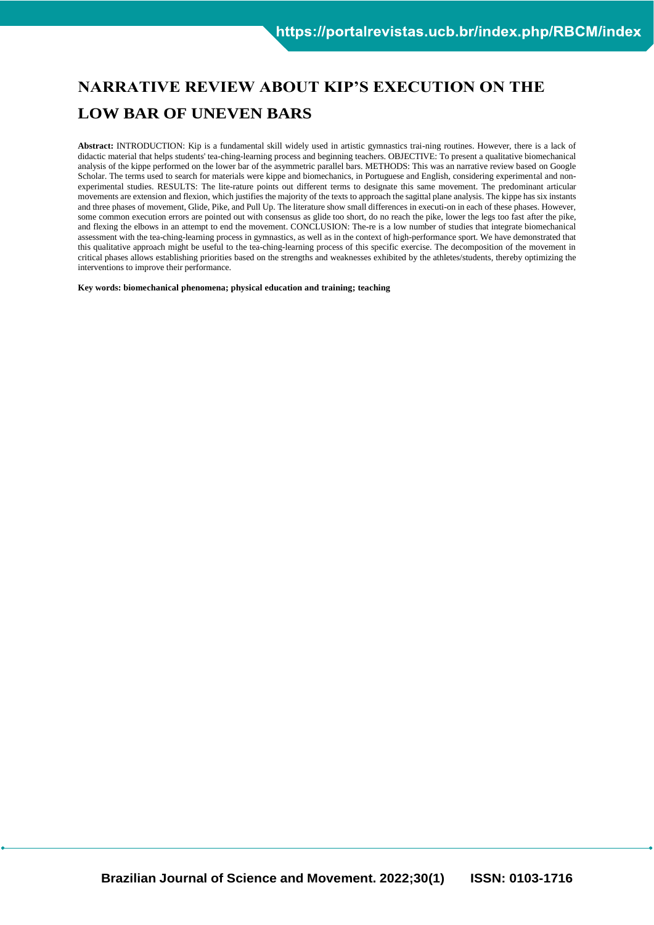### **NARRATIVE REVIEW ABOUT KIP'S EXECUTION ON THE LOW BAR OF UNEVEN BARS**

**Abstract:** INTRODUCTION: Kip is a fundamental skill widely used in artistic gymnastics trai-ning routines. However, there is a lack of didactic material that helps students' tea-ching-learning process and beginning teachers. OBJECTIVE: To present a qualitative biomechanical analysis of the kippe performed on the lower bar of the asymmetric parallel bars. METHODS: This was an narrative review based on Google Scholar. The terms used to search for materials were kippe and biomechanics, in Portuguese and English, considering experimental and nonexperimental studies. RESULTS: The lite-rature points out different terms to designate this same movement. The predominant articular movements are extension and flexion, which justifies the majority of the texts to approach the sagittal plane analysis. The kippe has six instants and three phases of movement, Glide, Pike, and Pull Up. The literature show small differences in executi-on in each of these phases. However, some common execution errors are pointed out with consensus as glide too short, do no reach the pike, lower the legs too fast after the pike, and flexing the elbows in an attempt to end the movement. CONCLUSION: The-re is a low number of studies that integrate biomechanical assessment with the tea-ching-learning process in gymnastics, as well as in the context of high-performance sport. We have demonstrated that this qualitative approach might be useful to the tea-ching-learning process of this specific exercise. The decomposition of the movement in critical phases allows establishing priorities based on the strengths and weaknesses exhibited by the athletes/students, thereby optimizing the interventions to improve their performance.

**Key words: biomechanical phenomena; physical education and training; teaching**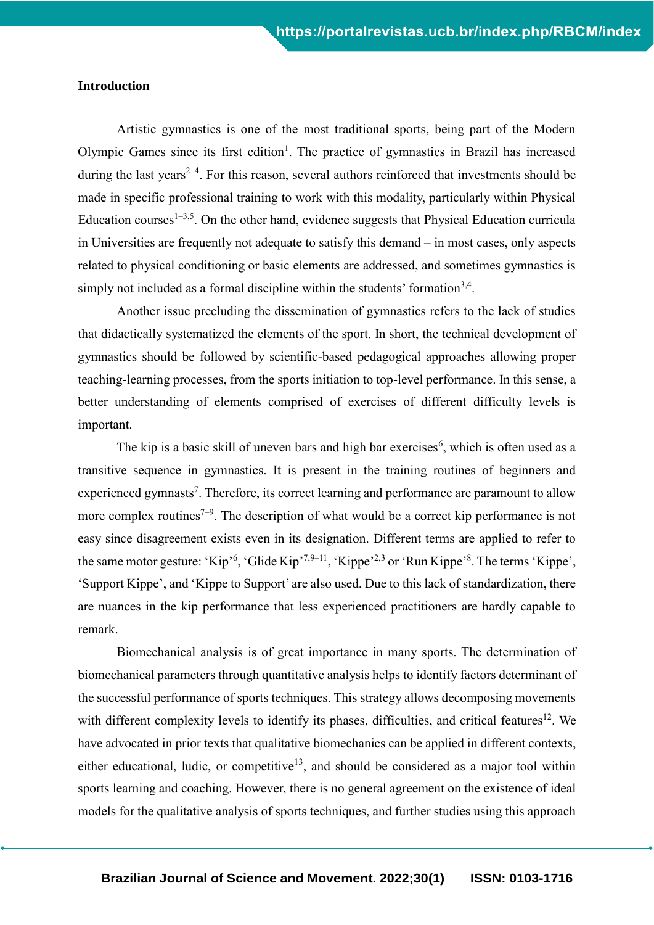#### **Introduction**

Artistic gymnastics is one of the most traditional sports, being part of the Modern Olympic Games since its first edition<sup>1</sup>. The practice of gymnastics in Brazil has increased during the last years<sup> $2-4$ </sup>. For this reason, several authors reinforced that investments should be made in specific professional training to work with this modality, particularly within Physical Education courses<sup> $1-3,5$ </sup>. On the other hand, evidence suggests that Physical Education curricula in Universities are frequently not adequate to satisfy this demand – in most cases, only aspects related to physical conditioning or basic elements are addressed, and sometimes gymnastics is simply not included as a formal discipline within the students' formation $3,4$ .

Another issue precluding the dissemination of gymnastics refers to the lack of studies that didactically systematized the elements of the sport. In short, the technical development of gymnastics should be followed by scientific-based pedagogical approaches allowing proper teaching-learning processes, from the sports initiation to top-level performance. In this sense, a better understanding of elements comprised of exercises of different difficulty levels is important.

The kip is a basic skill of uneven bars and high bar exercises<sup>6</sup>, which is often used as a transitive sequence in gymnastics. It is present in the training routines of beginners and experienced gymnasts<sup>7</sup>. Therefore, its correct learning and performance are paramount to allow more complex routines<sup> $7-9$ </sup>. The description of what would be a correct kip performance is not easy since disagreement exists even in its designation. Different terms are applied to refer to the same motor gesture: 'Kip'<sup>6</sup>, 'Glide Kip'<sup>7,9–11</sup>, 'Kippe'<sup>2,3</sup> or 'Run Kippe'<sup>8</sup>. The terms 'Kippe', 'Support Kippe', and 'Kippe to Support' are also used. Due to this lack of standardization, there are nuances in the kip performance that less experienced practitioners are hardly capable to remark.

Biomechanical analysis is of great importance in many sports. The determination of biomechanical parameters through quantitative analysis helps to identify factors determinant of the successful performance of sports techniques. This strategy allows decomposing movements with different complexity levels to identify its phases, difficulties, and critical features<sup>12</sup>. We have advocated in prior texts that qualitative biomechanics can be applied in different contexts, either educational, ludic, or competitive<sup>13</sup>, and should be considered as a major tool within sports learning and coaching. However, there is no general agreement on the existence of ideal models for the qualitative analysis of sports techniques, and further studies using this approach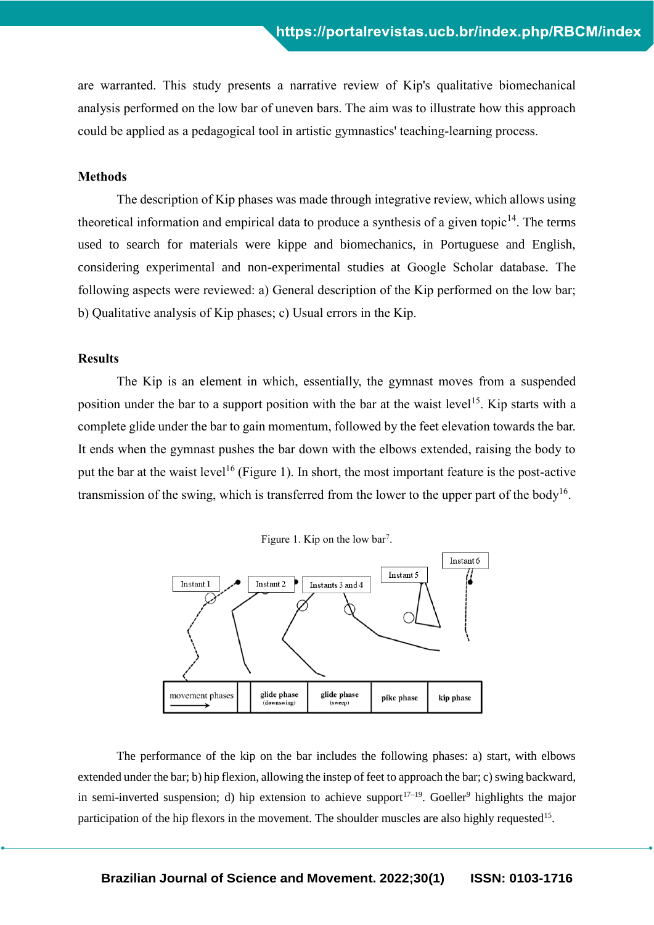are warranted. This study presents a narrative review of Kip's qualitative biomechanical analysis performed on the low bar of uneven bars. The aim was to illustrate how this approach could be applied as a pedagogical tool in artistic gymnastics' teaching-learning process.

#### **Methods**

The description of Kip phases was made through integrative review, which allows using theoretical information and empirical data to produce a synthesis of a given topic<sup>14</sup>. The terms used to search for materials were kippe and biomechanics, in Portuguese and English, considering experimental and non-experimental studies at Google Scholar database. The following aspects were reviewed: a) General description of the Kip performed on the low bar; b) Qualitative analysis of Kip phases; c) Usual errors in the Kip.

#### **Results**

The Kip is an element in which, essentially, the gymnast moves from a suspended position under the bar to a support position with the bar at the waist level<sup>15</sup>. Kip starts with a complete glide under the bar to gain momentum, followed by the feet elevation towards the bar. It ends when the gymnast pushes the bar down with the elbows extended, raising the body to put the bar at the waist level<sup>16</sup> (Figure 1). In short, the most important feature is the post-active transmission of the swing, which is transferred from the lower to the upper part of the body<sup>16</sup>.





The performance of the kip on the bar includes the following phases: a) start, with elbows extended under the bar; b) hip flexion, allowing the instep of feet to approach the bar; c) swing backward, in semi-inverted suspension; d) hip extension to achieve support<sup>17–19</sup>. Goeller<sup>9</sup> highlights the major participation of the hip flexors in the movement. The shoulder muscles are also highly requested<sup>15</sup>.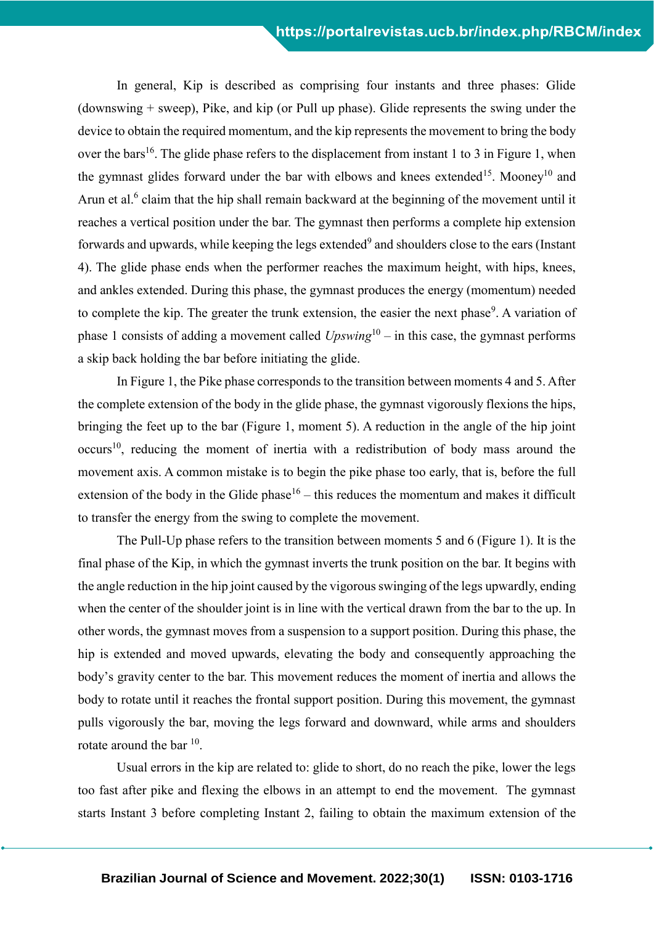In general, Kip is described as comprising four instants and three phases: Glide (downswing + sweep), Pike, and kip (or Pull up phase). Glide represents the swing under the device to obtain the required momentum, and the kip represents the movement to bring the body over the bars<sup>16</sup>. The glide phase refers to the displacement from instant 1 to 3 in Figure 1, when the gymnast glides forward under the bar with elbows and knees extended<sup>15</sup>. Mooney<sup>10</sup> and Arun et al.<sup>6</sup> claim that the hip shall remain backward at the beginning of the movement until it reaches a vertical position under the bar. The gymnast then performs a complete hip extension forwards and upwards, while keeping the legs extended $^9$  and shoulders close to the ears (Instant 4). The glide phase ends when the performer reaches the maximum height, with hips, knees, and ankles extended. During this phase, the gymnast produces the energy (momentum) needed to complete the kip. The greater the trunk extension, the easier the next phase<sup>9</sup>. A variation of phase 1 consists of adding a movement called *Upswing*<sup>10</sup> – in this case, the gymnast performs a skip back holding the bar before initiating the glide.

In Figure 1, the Pike phase corresponds to the transition between moments 4 and 5. After the complete extension of the body in the glide phase, the gymnast vigorously flexions the hips, bringing the feet up to the bar (Figure 1, moment 5). A reduction in the angle of the hip joint  $occurs<sup>10</sup>$ , reducing the moment of inertia with a redistribution of body mass around the movement axis. A common mistake is to begin the pike phase too early, that is, before the full extension of the body in the Glide phase<sup>16</sup> – this reduces the momentum and makes it difficult to transfer the energy from the swing to complete the movement.

The Pull-Up phase refers to the transition between moments 5 and 6 (Figure 1). It is the final phase of the Kip, in which the gymnast inverts the trunk position on the bar. It begins with the angle reduction in the hip joint caused by the vigorous swinging of the legs upwardly, ending when the center of the shoulder joint is in line with the vertical drawn from the bar to the up. In other words, the gymnast moves from a suspension to a support position. During this phase, the hip is extended and moved upwards, elevating the body and consequently approaching the body's gravity center to the bar. This movement reduces the moment of inertia and allows the body to rotate until it reaches the frontal support position. During this movement, the gymnast pulls vigorously the bar, moving the legs forward and downward, while arms and shoulders rotate around the bar  $^{10}$ .

Usual errors in the kip are related to: glide to short, do no reach the pike, lower the legs too fast after pike and flexing the elbows in an attempt to end the movement. The gymnast starts Instant 3 before completing Instant 2, failing to obtain the maximum extension of the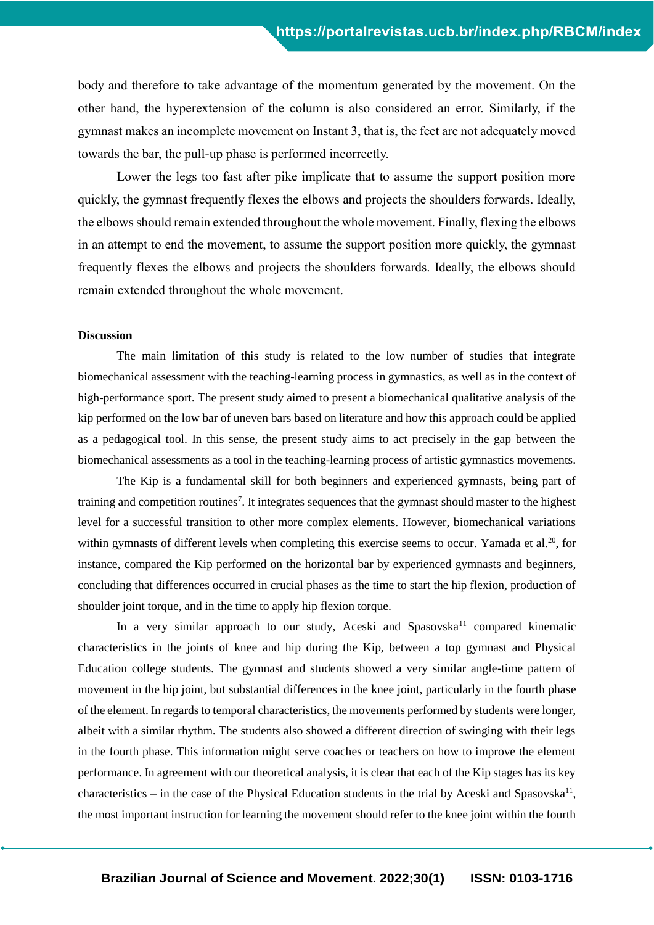body and therefore to take advantage of the momentum generated by the movement. On the other hand, the hyperextension of the column is also considered an error. Similarly, if the gymnast makes an incomplete movement on Instant 3, that is, the feet are not adequately moved towards the bar, the pull-up phase is performed incorrectly.

Lower the legs too fast after pike implicate that to assume the support position more quickly, the gymnast frequently flexes the elbows and projects the shoulders forwards. Ideally, the elbows should remain extended throughout the whole movement. Finally, flexing the elbows in an attempt to end the movement, to assume the support position more quickly, the gymnast frequently flexes the elbows and projects the shoulders forwards. Ideally, the elbows should remain extended throughout the whole movement.

#### **Discussion**

The main limitation of this study is related to the low number of studies that integrate biomechanical assessment with the teaching-learning process in gymnastics, as well as in the context of high-performance sport. The present study aimed to present a biomechanical qualitative analysis of the kip performed on the low bar of uneven bars based on literature and how this approach could be applied as a pedagogical tool. In this sense, the present study aims to act precisely in the gap between the biomechanical assessments as a tool in the teaching-learning process of artistic gymnastics movements.

The Kip is a fundamental skill for both beginners and experienced gymnasts, being part of training and competition routines<sup>7</sup>. It integrates sequences that the gymnast should master to the highest level for a successful transition to other more complex elements. However, biomechanical variations within gymnasts of different levels when completing this exercise seems to occur. Yamada et al.<sup>20</sup>, for instance, compared the Kip performed on the horizontal bar by experienced gymnasts and beginners, concluding that differences occurred in crucial phases as the time to start the hip flexion, production of shoulder joint torque, and in the time to apply hip flexion torque.

In a very similar approach to our study, Aceski and Spasovska<sup>11</sup> compared kinematic characteristics in the joints of knee and hip during the Kip, between a top gymnast and Physical Education college students. The gymnast and students showed a very similar angle-time pattern of movement in the hip joint, but substantial differences in the knee joint, particularly in the fourth phase of the element. In regards to temporal characteristics, the movements performed by students were longer, albeit with a similar rhythm. The students also showed a different direction of swinging with their legs in the fourth phase. This information might serve coaches or teachers on how to improve the element performance. In agreement with our theoretical analysis, it is clear that each of the Kip stages has its key characteristics – in the case of the Physical Education students in the trial by Aceski and Spasovska<sup>11</sup>, the most important instruction for learning the movement should refer to the knee joint within the fourth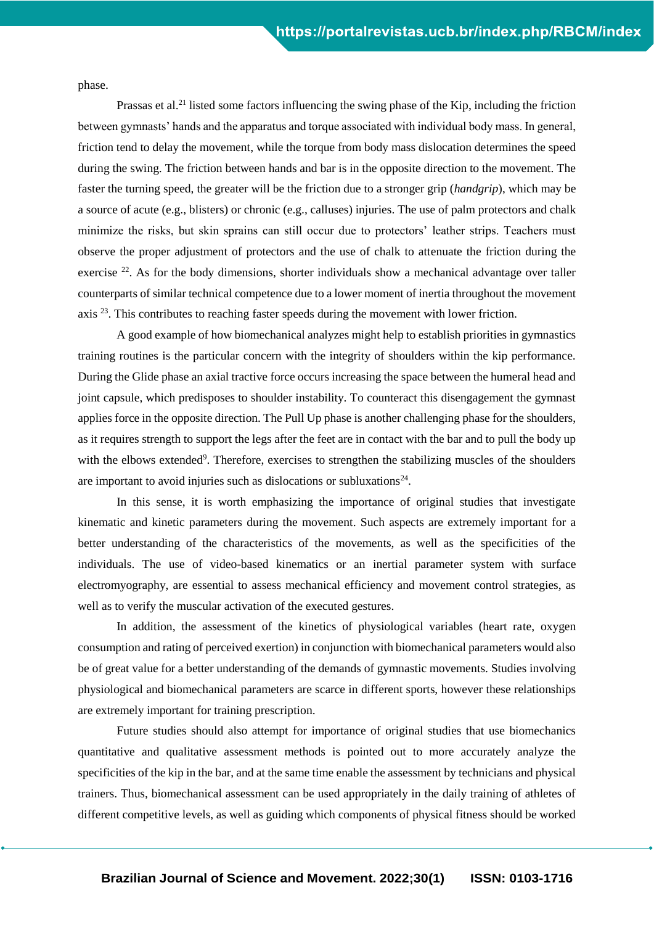phase.

Prassas et al.<sup>21</sup> listed some factors influencing the swing phase of the Kip, including the friction between gymnasts' hands and the apparatus and torque associated with individual body mass. In general, friction tend to delay the movement, while the torque from body mass dislocation determines the speed during the swing. The friction between hands and bar is in the opposite direction to the movement. The faster the turning speed, the greater will be the friction due to a stronger grip (*handgrip*), which may be a source of acute (e.g., blisters) or chronic (e.g., calluses) injuries. The use of palm protectors and chalk minimize the risks, but skin sprains can still occur due to protectors' leather strips. Teachers must observe the proper adjustment of protectors and the use of chalk to attenuate the friction during the exercise  $^{22}$ . As for the body dimensions, shorter individuals show a mechanical advantage over taller counterparts of similar technical competence due to a lower moment of inertia throughout the movement axis <sup>23</sup>. This contributes to reaching faster speeds during the movement with lower friction.

A good example of how biomechanical analyzes might help to establish priorities in gymnastics training routines is the particular concern with the integrity of shoulders within the kip performance. During the Glide phase an axial tractive force occurs increasing the space between the humeral head and joint capsule, which predisposes to shoulder instability. To counteract this disengagement the gymnast applies force in the opposite direction. The Pull Up phase is another challenging phase for the shoulders, as it requires strength to support the legs after the feet are in contact with the bar and to pull the body up with the elbows extended<sup>9</sup>. Therefore, exercises to strengthen the stabilizing muscles of the shoulders are important to avoid injuries such as dislocations or subluxations $24$ .

In this sense, it is worth emphasizing the importance of original studies that investigate kinematic and kinetic parameters during the movement. Such aspects are extremely important for a better understanding of the characteristics of the movements, as well as the specificities of the individuals. The use of video-based kinematics or an inertial parameter system with surface electromyography, are essential to assess mechanical efficiency and movement control strategies, as well as to verify the muscular activation of the executed gestures.

In addition, the assessment of the kinetics of physiological variables (heart rate, oxygen consumption and rating of perceived exertion) in conjunction with biomechanical parameters would also be of great value for a better understanding of the demands of gymnastic movements. Studies involving physiological and biomechanical parameters are scarce in different sports, however these relationships are extremely important for training prescription.

Future studies should also attempt for importance of original studies that use biomechanics quantitative and qualitative assessment methods is pointed out to more accurately analyze the specificities of the kip in the bar, and at the same time enable the assessment by technicians and physical trainers. Thus, biomechanical assessment can be used appropriately in the daily training of athletes of different competitive levels, as well as guiding which components of physical fitness should be worked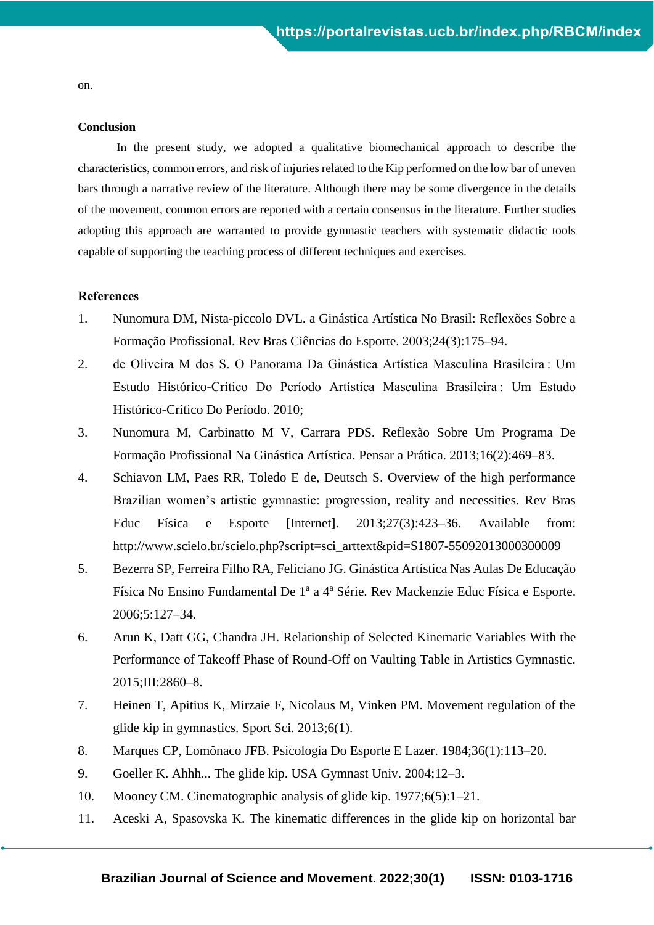on.

#### **Conclusion**

In the present study, we adopted a qualitative biomechanical approach to describe the characteristics, common errors, and risk of injuries related to the Kip performed on the low bar of uneven bars through a narrative review of the literature. Although there may be some divergence in the details of the movement, common errors are reported with a certain consensus in the literature. Further studies adopting this approach are warranted to provide gymnastic teachers with systematic didactic tools capable of supporting the teaching process of different techniques and exercises.

#### **References**

- 1. Nunomura DM, Nista-piccolo DVL. a Ginástica Artística No Brasil: Reflexões Sobre a Formação Profissional. Rev Bras Ciências do Esporte. 2003;24(3):175–94.
- 2. de Oliveira M dos S. O Panorama Da Ginástica Artística Masculina Brasileira : Um Estudo Histórico-Crítico Do Período Artística Masculina Brasileira : Um Estudo Histórico-Crítico Do Período. 2010;
- 3. Nunomura M, Carbinatto M V, Carrara PDS. Reflexão Sobre Um Programa De Formação Profissional Na Ginástica Artística. Pensar a Prática. 2013;16(2):469–83.
- 4. Schiavon LM, Paes RR, Toledo E de, Deutsch S. Overview of the high performance Brazilian women's artistic gymnastic: progression, reality and necessities. Rev Bras Educ Física e Esporte [Internet]. 2013;27(3):423–36. Available from: http://www.scielo.br/scielo.php?script=sci\_arttext&pid=S1807-55092013000300009
- 5. Bezerra SP, Ferreira Filho RA, Feliciano JG. Ginástica Artística Nas Aulas De Educação Física No Ensino Fundamental De 1<sup>ª</sup> a 4<sup>ª</sup> Série. Rev Mackenzie Educ Física e Esporte. 2006;5:127–34.
- 6. Arun K, Datt GG, Chandra JH. Relationship of Selected Kinematic Variables With the Performance of Takeoff Phase of Round-Off on Vaulting Table in Artistics Gymnastic. 2015;III:2860–8.
- 7. Heinen T, Apitius K, Mirzaie F, Nicolaus M, Vinken PM. Movement regulation of the glide kip in gymnastics. Sport Sci. 2013;6(1).
- 8. Marques CP, Lomônaco JFB. Psicologia Do Esporte E Lazer. 1984;36(1):113–20.
- 9. Goeller K. Ahhh... The glide kip. USA Gymnast Univ. 2004;12–3.
- 10. Mooney CM. Cinematographic analysis of glide kip. 1977;6(5):1–21.
- 11. Aceski A, Spasovska K. The kinematic differences in the glide kip on horizontal bar